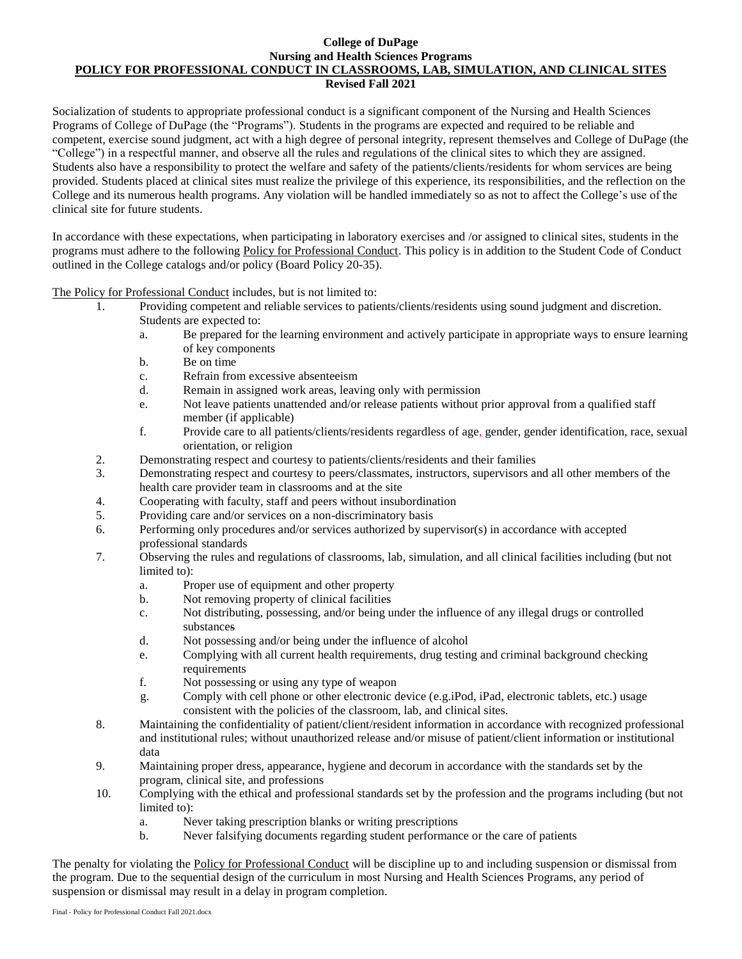## **College of DuPage Nursing and Health Sciences Programs POLICY FOR PROFESSIONAL CONDUCT IN CLASSROOMS, LAB, SIMULATION, AND CLINICAL SITES Revised Fall 2021**

Socialization of students to appropriate professional conduct is a significant component of the Nursing and Health Sciences Programs of College of DuPage (the "Programs"). Students in the programs are expected and required to be reliable and competent, exercise sound judgment, act with a high degree of personal integrity, represent themselves and College of DuPage (the "College") in a respectful manner, and observe all the rules and regulations of the clinical sites to which they are assigned. Students also have a responsibility to protect the welfare and safety of the patients/clients/residents for whom services are being provided. Students placed at clinical sites must realize the privilege of this experience, its responsibilities, and the reflection on the College and its numerous health programs. Any violation will be handled immediately so as not to affect the College's use of the clinical site for future students.

In accordance with these expectations, when participating in laboratory exercises and /or assigned to clinical sites, students in the programs must adhere to the following Policy for Professional Conduct. This policy is in addition to the Student Code of Conduct outlined in the College catalogs and/or policy (Board Policy 20-35).

The Policy for Professional Conduct includes, but is not limited to:

- 1. Providing competent and reliable services to patients/clients/residents using sound judgment and discretion. Students are expected to:
	- a. Be prepared for the learning environment and actively participate in appropriate ways to ensure learning of key components
	- b. Be on time
	- c. Refrain from excessive absenteeism
	- d. Remain in assigned work areas, leaving only with permission
	- e. Not leave patients unattended and/or release patients without prior approval from a qualified staff member (if applicable)
	- f. Provide care to all patients/clients/residents regardless of age, gender, gender identification, race, sexual orientation, or religion
- 2. Demonstrating respect and courtesy to patients/clients/residents and their families
- 3. Demonstrating respect and courtesy to peers/classmates, instructors, supervisors and all other members of the health care provider team in classrooms and at the site
- 4. Cooperating with faculty, staff and peers without insubordination
- 5. Providing care and/or services on a non-discriminatory basis
- 6. Performing only procedures and/or services authorized by supervisor(s) in accordance with accepted professional standards
- 7. Observing the rules and regulations of classrooms, lab, simulation, and all clinical facilities including (but not limited to):
	- a. Proper use of equipment and other property
	- b. Not removing property of clinical facilities
	- c. Not distributing, possessing, and/or being under the influence of any illegal drugs or controlled substances
	- d. Not possessing and/or being under the influence of alcohol
	- e. Complying with all current health requirements, drug testing and criminal background checking requirements
	- f. Not possessing or using any type of weapon
	- g. Comply with cell phone or other electronic device (e.g.iPod, iPad, electronic tablets, etc.) usage consistent with the policies of the classroom, lab, and clinical sites.
- 8. Maintaining the confidentiality of patient/client/resident information in accordance with recognized professional and institutional rules; without unauthorized release and/or misuse of patient/client information or institutional data
- 9. Maintaining proper dress, appearance, hygiene and decorum in accordance with the standards set by the program, clinical site, and professions
- 10. Complying with the ethical and professional standards set by the profession and the programs including (but not limited to):
	- a. Never taking prescription blanks or writing prescriptions
	- b. Never falsifying documents regarding student performance or the care of patients

The penalty for violating the Policy for Professional Conduct will be discipline up to and including suspension or dismissal from the program. Due to the sequential design of the curriculum in most Nursing and Health Sciences Programs, any period of suspension or dismissal may result in a delay in program completion.